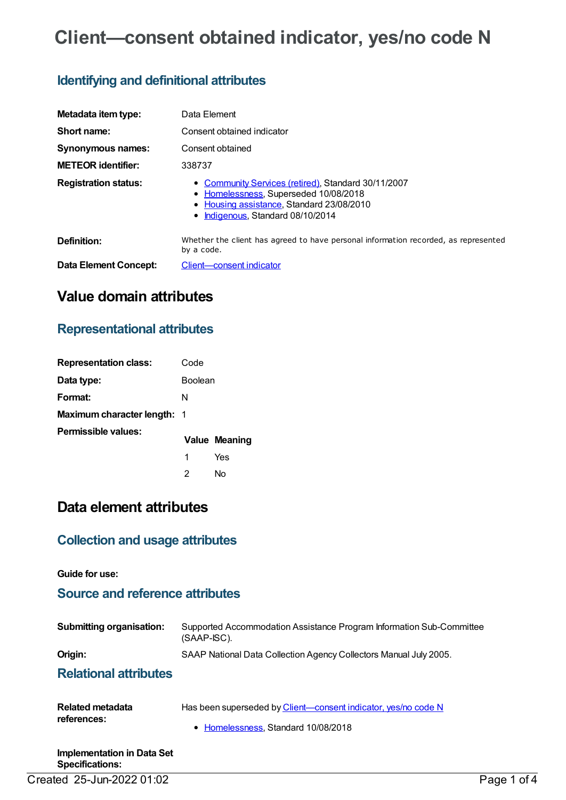# **Client—consent obtained indicator, yes/no code N**

## **Identifying and definitional attributes**

| Metadata item type:         | Data Element                                                                                                                                                                   |
|-----------------------------|--------------------------------------------------------------------------------------------------------------------------------------------------------------------------------|
| Short name:                 | Consent obtained indicator                                                                                                                                                     |
| Synonymous names:           | Consent obtained                                                                                                                                                               |
| <b>METEOR identifier:</b>   | 338737                                                                                                                                                                         |
| <b>Registration status:</b> | • Community Services (retired), Standard 30/11/2007<br>• Homelessness, Superseded 10/08/2018<br>• Housing assistance, Standard 23/08/2010<br>• Indigenous, Standard 08/10/2014 |
| Definition:                 | Whether the client has agreed to have personal information recorded, as represented<br>by a code.                                                                              |
| Data Element Concept:       | Client-consent indicator                                                                                                                                                       |

## **Value domain attributes**

## **Representational attributes**

| <b>Representation class:</b>       | Code           |                      |
|------------------------------------|----------------|----------------------|
| Data type:                         | <b>Boolean</b> |                      |
| Format:                            | N              |                      |
| <b>Maximum character length: 1</b> |                |                      |
| Permissible values:                |                | <b>Value Meaning</b> |
|                                    | 1              | Yes                  |
|                                    | 2              | N٥                   |

## **Data element attributes**

## **Collection and usage attributes**

**Guide for use:**

## **Source and reference attributes**

| <b>Submitting organisation:</b> | Supported Accommodation Assistance Program Information Sub-Committee<br>$(SAAP-ISC)$ . |
|---------------------------------|----------------------------------------------------------------------------------------|
| Origin:                         | SAAP National Data Collection Agency Collectors Manual July 2005.                      |
| ___                             |                                                                                        |

### **Relational attributes**

| Related metadata<br>references: | Has been superseded by Client—consent indicator, yes/no code N |
|---------------------------------|----------------------------------------------------------------|
|                                 | • Homelessness, Standard 10/08/2018                            |
| .                               |                                                                |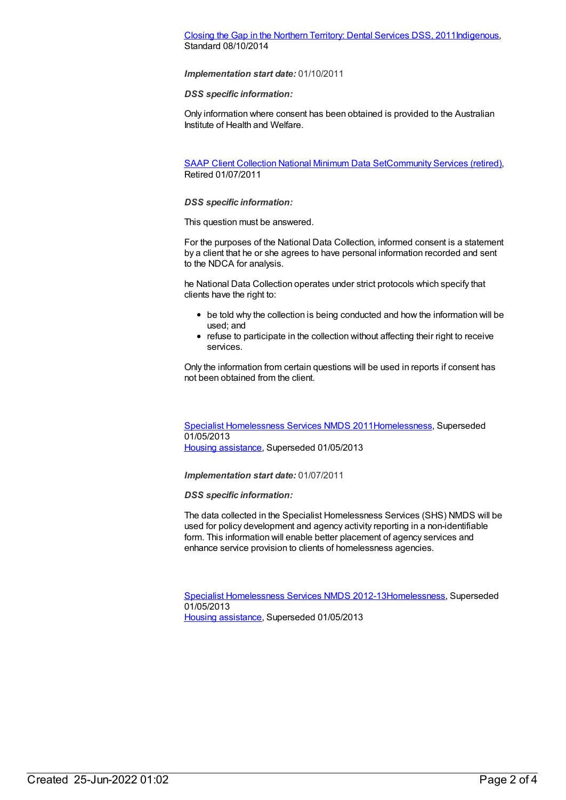### Closing the Gap in the Northern [Territory:](https://meteor.aihw.gov.au/content/496216) Dental Services DSS, 201[1Indigenous](https://meteor.aihw.gov.au/RegistrationAuthority/6), Standard 08/10/2014

### *Implementation start date:* 01/10/2011

### *DSS specific information:*

Only information where consent has been obtained is provided to the Australian Institute of Health and Welfare.

SAAP Client [Collection](https://meteor.aihw.gov.au/content/339019) National Minimum Data Se[tCommunity](https://meteor.aihw.gov.au/RegistrationAuthority/1) Services (retired), Retired 01/07/2011

### *DSS specific information:*

This question must be answered.

For the purposes of the National Data Collection, informed consent is a statement by a client that he or she agrees to have personal information recorded and sent to the NDCA for analysis.

he National Data Collection operates under strict protocols which specify that clients have the right to:

- be told why the collection is being conducted and how the information will be used; and
- refuse to participate in the collection without affecting their right to receive services.

Only the information from certain questions will be used in reports if consent has not been obtained from the client.

Specialist [Homelessness](https://meteor.aihw.gov.au/content/398238) Services NMDS 201[1Homelessness](https://meteor.aihw.gov.au/RegistrationAuthority/14), Superseded 01/05/2013 Housing [assistance](https://meteor.aihw.gov.au/RegistrationAuthority/11), Superseded 01/05/2013

*Implementation start date:* 01/07/2011

### *DSS specific information:*

The data collected in the Specialist Homelessness Services (SHS) NMDS will be used for policy development and agency activity reporting in a non-identifiable form. This information will enable better placement of agency services and enhance service provision to clients of homelessness agencies.

Specialist [Homelessness](https://meteor.aihw.gov.au/content/508954) Services NMDS 2012-1[3Homelessness](https://meteor.aihw.gov.au/RegistrationAuthority/14), Superseded 01/05/2013

Housing [assistance](https://meteor.aihw.gov.au/RegistrationAuthority/11), Superseded 01/05/2013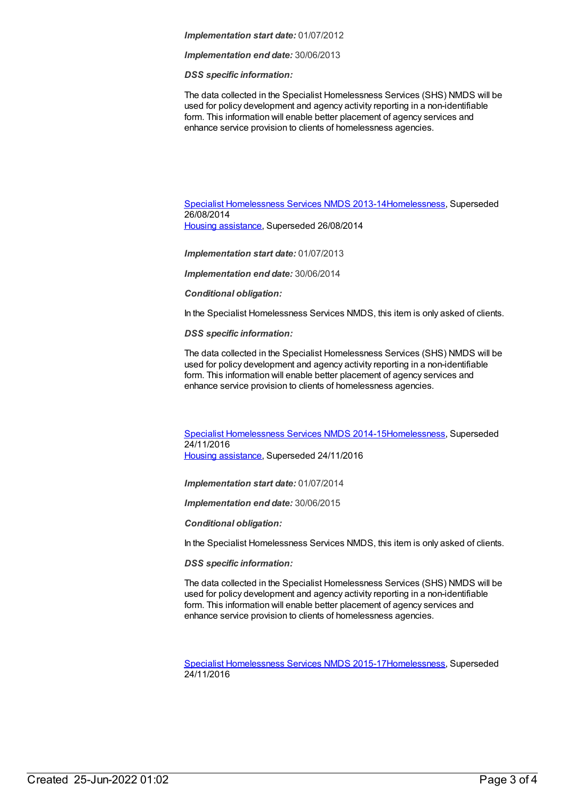#### *Implementation start date:* 01/07/2012

*Implementation end date:* 30/06/2013

*DSS specific information:*

The data collected in the Specialist Homelessness Services (SHS) NMDS will be used for policy development and agency activity reporting in a non-identifiable form. This information will enable better placement of agency services and enhance service provision to clients of homelessness agencies.

Specialist [Homelessness](https://meteor.aihw.gov.au/content/505626) Services NMDS 2013-1[4Homelessness](https://meteor.aihw.gov.au/RegistrationAuthority/14), Superseded 26/08/2014 Housing [assistance](https://meteor.aihw.gov.au/RegistrationAuthority/11), Superseded 26/08/2014

*Implementation start date:* 01/07/2013

*Implementation end date:* 30/06/2014

*Conditional obligation:*

In the Specialist Homelessness Services NMDS, this item is only asked of clients.

*DSS specific information:*

The data collected in the Specialist Homelessness Services (SHS) NMDS will be used for policy development and agency activity reporting in a non-identifiable form. This information will enable better placement of agency services and enhance service provision to clients of homelessness agencies.

Specialist [Homelessness](https://meteor.aihw.gov.au/content/581255) Services NMDS 2014-1[5Homelessness](https://meteor.aihw.gov.au/RegistrationAuthority/14), Superseded 24/11/2016 Housing [assistance](https://meteor.aihw.gov.au/RegistrationAuthority/11), Superseded 24/11/2016

*Implementation start date:* 01/07/2014

*Implementation end date:* 30/06/2015

*Conditional obligation:*

In the Specialist Homelessness Services NMDS, this item is only asked of clients.

*DSS specific information:*

The data collected in the Specialist Homelessness Services (SHS) NMDS will be used for policy development and agency activity reporting in a non-identifiable form. This information will enable better placement of agency services and enhance service provision to clients of homelessness agencies.

Specialist [Homelessness](https://meteor.aihw.gov.au/content/658005) Services NMDS 2015-1[7Homelessness](https://meteor.aihw.gov.au/RegistrationAuthority/14), Superseded 24/11/2016